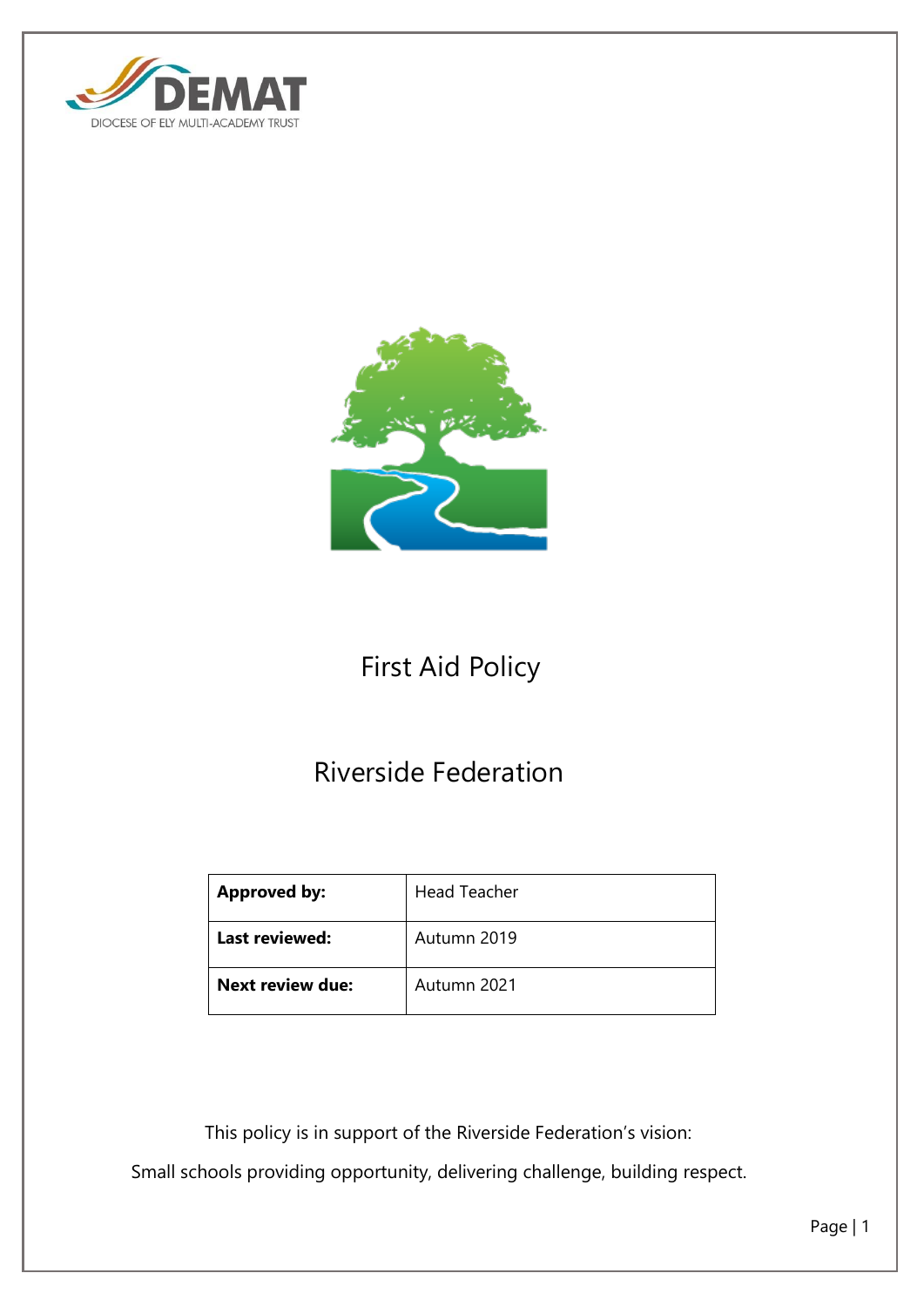



# First Aid Policy

# Riverside Federation

| <b>Approved by:</b>     | <b>Head Teacher</b> |
|-------------------------|---------------------|
| Last reviewed:          | Autumn 2019         |
| <b>Next review due:</b> | Autumn 2021         |

 This policy is in support of the Riverside Federation's vision: Small schools providing opportunity, delivering challenge, building respect.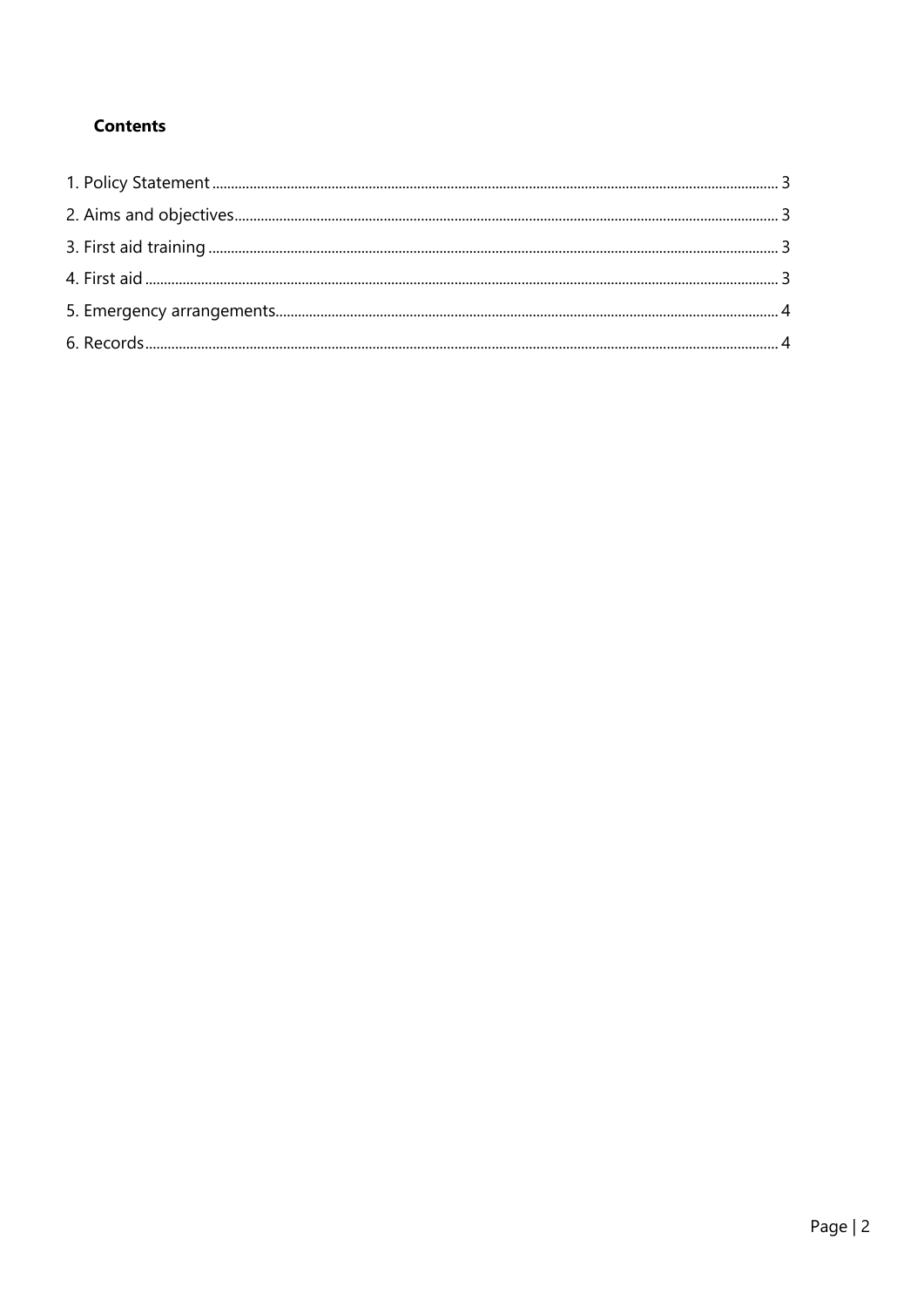## **Contents**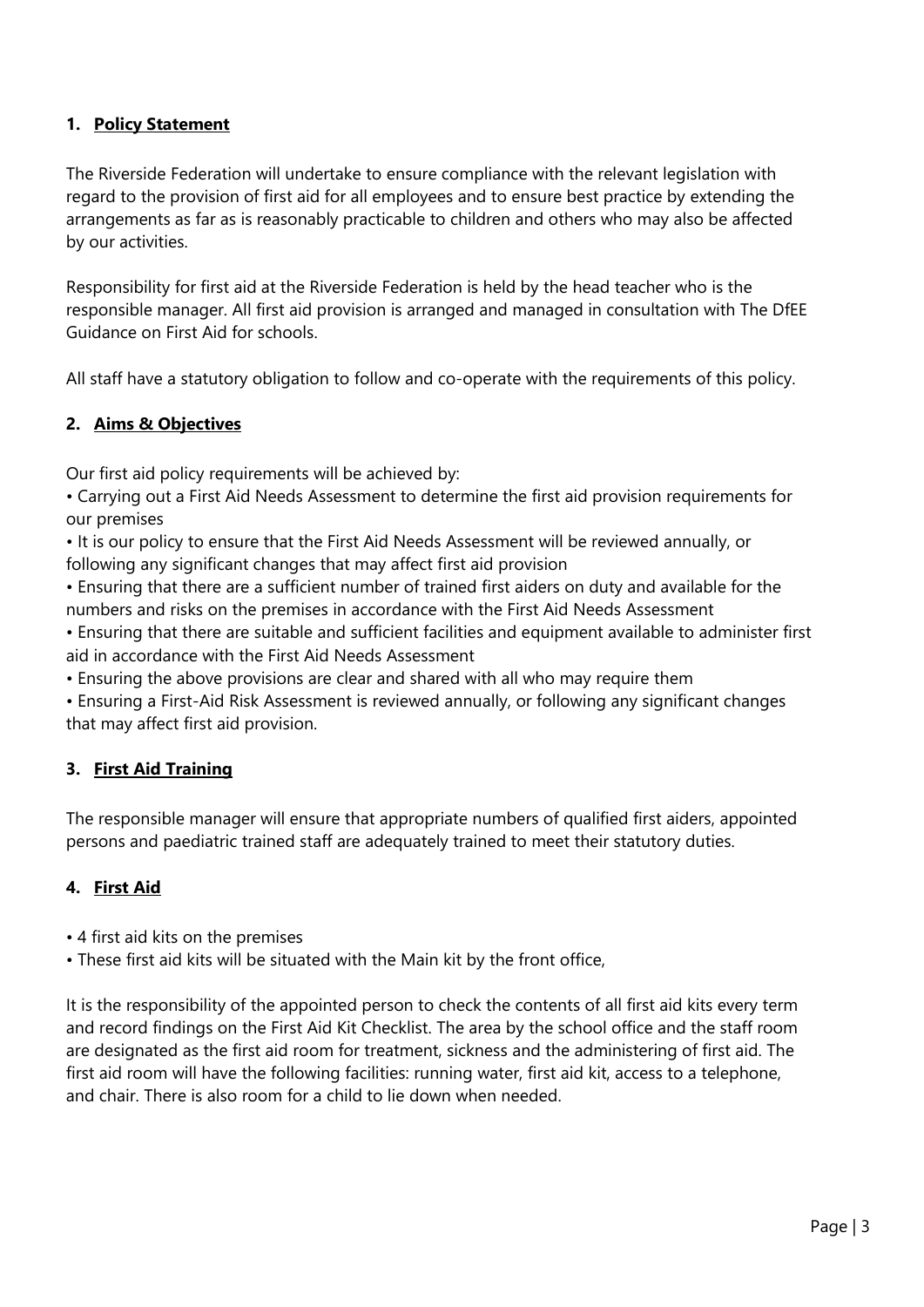## <span id="page-2-0"></span>**1. Policy Statement**

The Riverside Federation will undertake to ensure compliance with the relevant legislation with regard to the provision of first aid for all employees and to ensure best practice by extending the arrangements as far as is reasonably practicable to children and others who may also be affected by our activities.

Responsibility for first aid at the Riverside Federation is held by the head teacher who is the responsible manager. All first aid provision is arranged and managed in consultation with The DfEE Guidance on First Aid for schools.

All staff have a statutory obligation to follow and co-operate with the requirements of this policy.

## <span id="page-2-1"></span>**2. Aims & Objectives**

Our first aid policy requirements will be achieved by:

- Carrying out a First Aid Needs Assessment to determine the first aid provision requirements for our premises
- It is our policy to ensure that the First Aid Needs Assessment will be reviewed annually, or following any significant changes that may affect first aid provision
- Ensuring that there are a sufficient number of trained first aiders on duty and available for the numbers and risks on the premises in accordance with the First Aid Needs Assessment
- Ensuring that there are suitable and sufficient facilities and equipment available to administer first aid in accordance with the First Aid Needs Assessment
- Ensuring the above provisions are clear and shared with all who may require them
- Ensuring a First-Aid Risk Assessment is reviewed annually, or following any significant changes that may affect first aid provision.

### <span id="page-2-2"></span>**3. First Aid Training**

The responsible manager will ensure that appropriate numbers of qualified first aiders, appointed persons and paediatric trained staff are adequately trained to meet their statutory duties.

### <span id="page-2-3"></span>**4. First Aid**

- 4 first aid kits on the premises
- These first aid kits will be situated with the Main kit by the front office,

It is the responsibility of the appointed person to check the contents of all first aid kits every term and record findings on the First Aid Kit Checklist. The area by the school office and the staff room are designated as the first aid room for treatment, sickness and the administering of first aid. The first aid room will have the following facilities: running water, first aid kit, access to a telephone, and chair. There is also room for a child to lie down when needed.